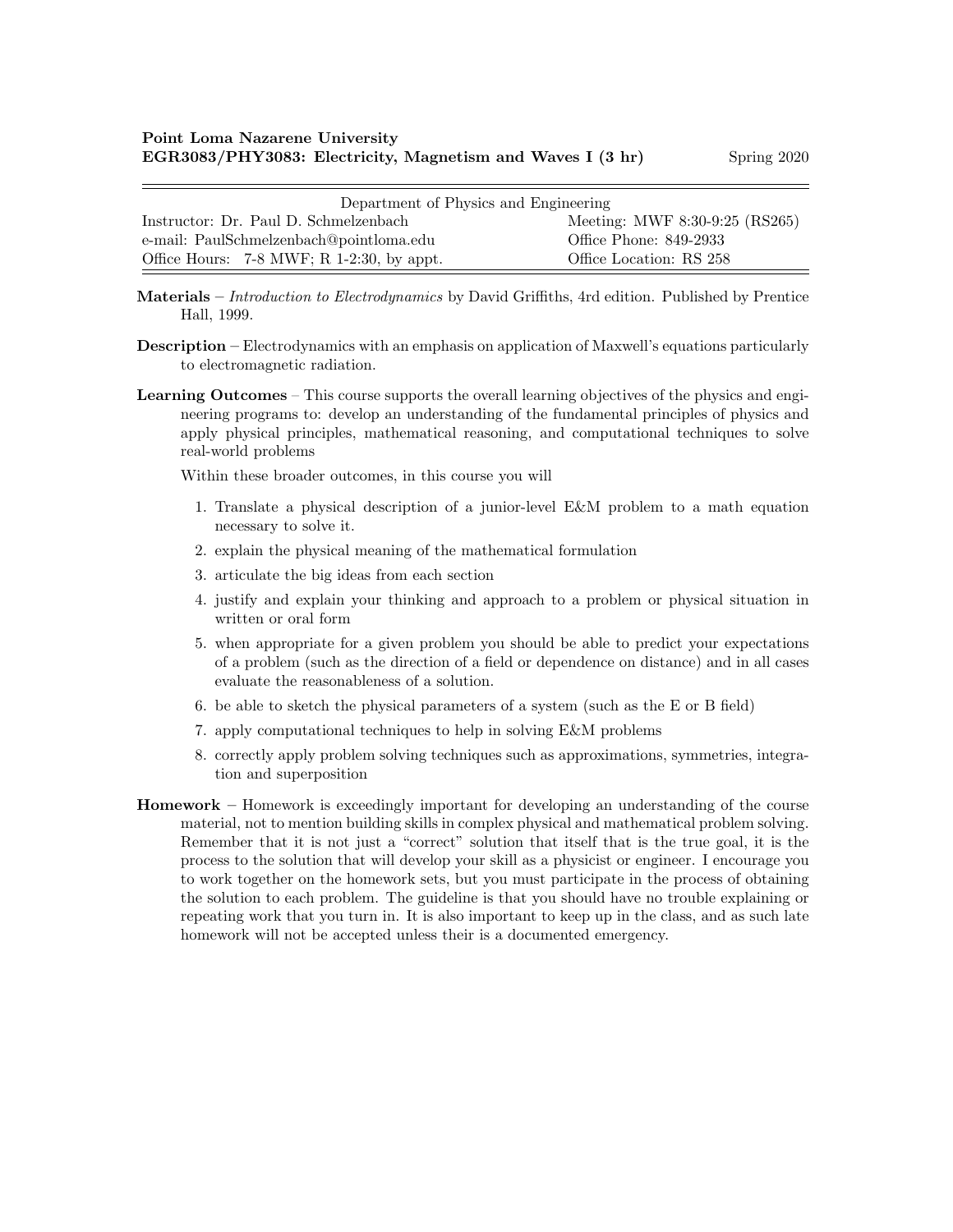| Department of Physics and Engineering     |                                |  |  |  |
|-------------------------------------------|--------------------------------|--|--|--|
| Instructor: Dr. Paul D. Schmelzenbach     | Meeting: MWF 8:30-9:25 (RS265) |  |  |  |
| e-mail: PaulSchmelzenbach@pointloma.edu   | Office Phone: 849-2933         |  |  |  |
| Office Hours: 7-8 MWF; R 1-2:30, by appt. | Office Location: RS 258        |  |  |  |

Materials – Introduction to Electrodynamics by David Griffiths, 4rd edition. Published by Prentice Hall, 1999.

- Description Electrodynamics with an emphasis on application of Maxwell's equations particularly to electromagnetic radiation.
- Learning Outcomes This course supports the overall learning objectives of the physics and engineering programs to: develop an understanding of the fundamental principles of physics and apply physical principles, mathematical reasoning, and computational techniques to solve real-world problems

Within these broader outcomes, in this course you will

- 1. Translate a physical description of a junior-level E&M problem to a math equation necessary to solve it.
- 2. explain the physical meaning of the mathematical formulation
- 3. articulate the big ideas from each section
- 4. justify and explain your thinking and approach to a problem or physical situation in written or oral form
- 5. when appropriate for a given problem you should be able to predict your expectations of a problem (such as the direction of a field or dependence on distance) and in all cases evaluate the reasonableness of a solution.
- 6. be able to sketch the physical parameters of a system (such as the E or B field)
- 7. apply computational techniques to help in solving E&M problems
- 8. correctly apply problem solving techniques such as approximations, symmetries, integration and superposition
- Homework Homework is exceedingly important for developing an understanding of the course material, not to mention building skills in complex physical and mathematical problem solving. Remember that it is not just a "correct" solution that itself that is the true goal, it is the process to the solution that will develop your skill as a physicist or engineer. I encourage you to work together on the homework sets, but you must participate in the process of obtaining the solution to each problem. The guideline is that you should have no trouble explaining or repeating work that you turn in. It is also important to keep up in the class, and as such late homework will not be accepted unless their is a documented emergency.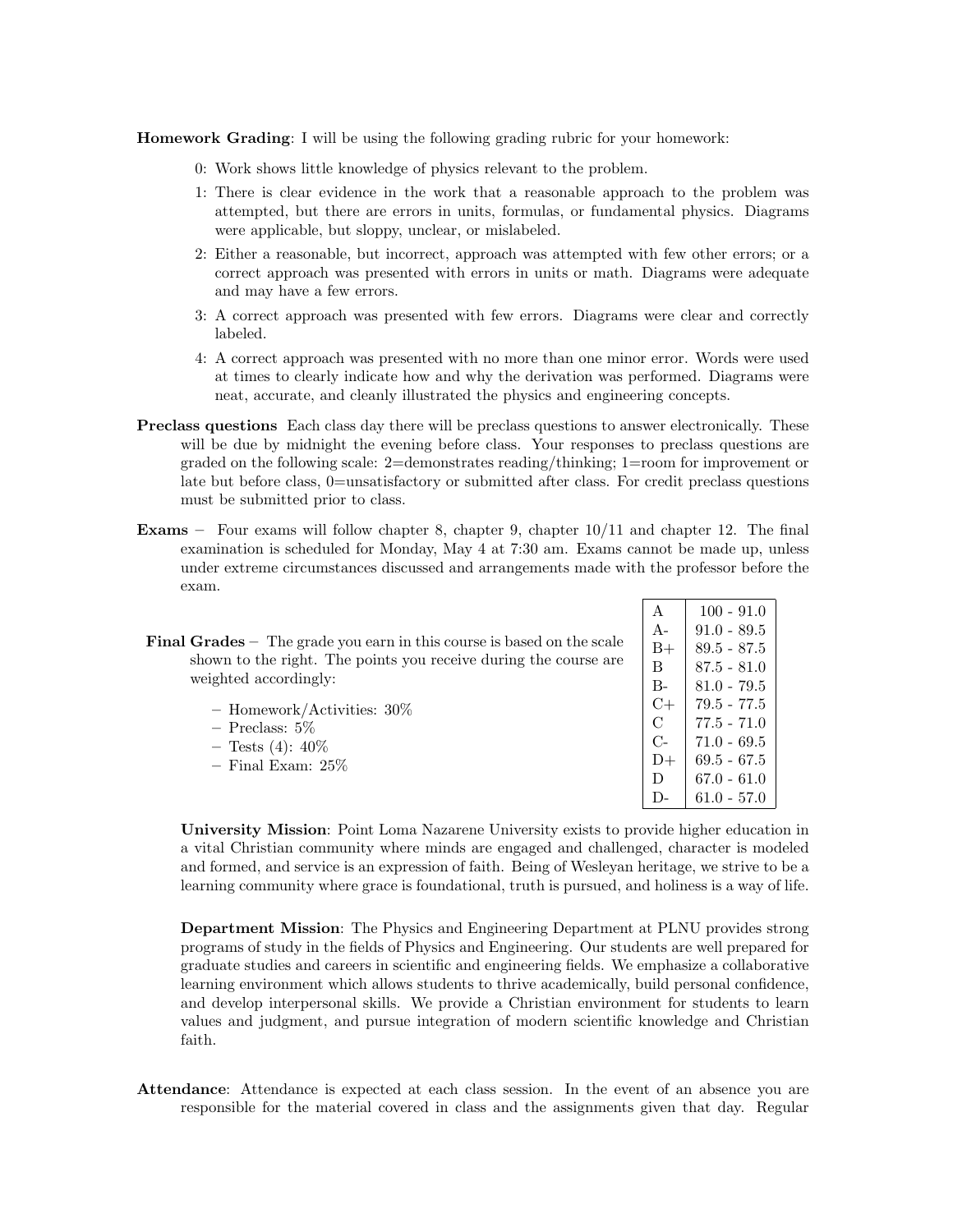Homework Grading: I will be using the following grading rubric for your homework:

- 0: Work shows little knowledge of physics relevant to the problem.
- 1: There is clear evidence in the work that a reasonable approach to the problem was attempted, but there are errors in units, formulas, or fundamental physics. Diagrams were applicable, but sloppy, unclear, or mislabeled.
- 2: Either a reasonable, but incorrect, approach was attempted with few other errors; or a correct approach was presented with errors in units or math. Diagrams were adequate and may have a few errors.
- 3: A correct approach was presented with few errors. Diagrams were clear and correctly labeled.
- 4: A correct approach was presented with no more than one minor error. Words were used at times to clearly indicate how and why the derivation was performed. Diagrams were neat, accurate, and cleanly illustrated the physics and engineering concepts.
- Preclass questions Each class day there will be preclass questions to answer electronically. These will be due by midnight the evening before class. Your responses to preclass questions are graded on the following scale: 2=demonstrates reading/thinking; 1=room for improvement or late but before class, 0=unsatisfactory or submitted after class. For credit preclass questions must be submitted prior to class.
- Exams Four exams will follow chapter 8, chapter 9, chapter 10/11 and chapter 12. The final examination is scheduled for Monday, May 4 at 7:30 am. Exams cannot be made up, unless under extreme circumstances discussed and arrangements made with the professor before the exam.
- Final Grades The grade you earn in this course is based on the scale shown to the right. The points you receive during the course are weighted accordingly:
	- Homework/Activities: 30% – Preclass: 5%  $-$  Tests (4):  $40\%$
	- Final Exam: 25%

| $\mathbf{A}$  | $100 - 91.0$  |
|---------------|---------------|
| $A-$          | $91.0 - 89.5$ |
| B+            | $89.5 - 87.5$ |
| B.            | $87.5 - 81.0$ |
| $B -$         | 81.0 - 79.5   |
| C+            | 79.5 - 77.5   |
| $\mathcal{C}$ | $77.5 - 71.0$ |
| $C_{\Xi}$     | 71.0 - 69.5   |
| D+            | $69.5 - 67.5$ |
| D.            | 67.0 - 61.0   |
| $\mathsf{L}$  | 61.0 - 57.0   |

University Mission: Point Loma Nazarene University exists to provide higher education in a vital Christian community where minds are engaged and challenged, character is modeled and formed, and service is an expression of faith. Being of Wesleyan heritage, we strive to be a learning community where grace is foundational, truth is pursued, and holiness is a way of life.

Department Mission: The Physics and Engineering Department at PLNU provides strong programs of study in the fields of Physics and Engineering. Our students are well prepared for graduate studies and careers in scientific and engineering fields. We emphasize a collaborative learning environment which allows students to thrive academically, build personal confidence, and develop interpersonal skills. We provide a Christian environment for students to learn values and judgment, and pursue integration of modern scientific knowledge and Christian faith.

Attendance: Attendance is expected at each class session. In the event of an absence you are responsible for the material covered in class and the assignments given that day. Regular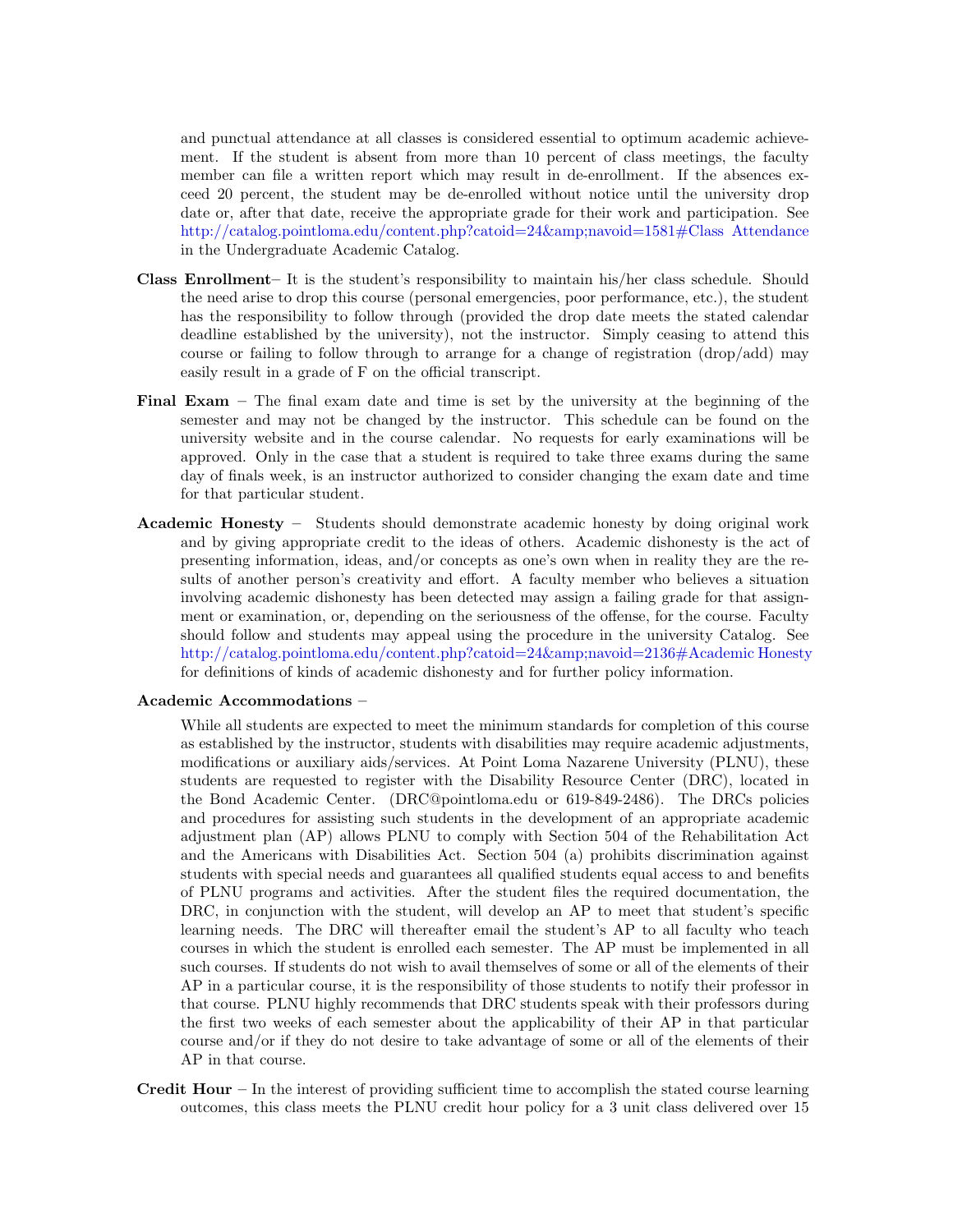and punctual attendance at all classes is considered essential to optimum academic achievement. If the student is absent from more than 10 percent of class meetings, the faculty member can file a written report which may result in de-enrollment. If the absences exceed 20 percent, the student may be de-enrolled without notice until the university drop date or, after that date, receive the appropriate grade for their work and participation. See [http://catalog.pointloma.edu/content.php?catoid=24&navoid=1581#Class Attendance](http://catalog.pointloma.edu/content.php?catoid=24&navoid=1581) in the Undergraduate Academic Catalog.

- Class Enrollment– It is the student's responsibility to maintain his/her class schedule. Should the need arise to drop this course (personal emergencies, poor performance, etc.), the student has the responsibility to follow through (provided the drop date meets the stated calendar deadline established by the university), not the instructor. Simply ceasing to attend this course or failing to follow through to arrange for a change of registration (drop/add) may easily result in a grade of F on the official transcript.
- Final Exam The final exam date and time is set by the university at the beginning of the semester and may not be changed by the instructor. This schedule can be found on the university website and in the course calendar. No requests for early examinations will be approved. Only in the case that a student is required to take three exams during the same day of finals week, is an instructor authorized to consider changing the exam date and time for that particular student.
- Academic Honesty Students should demonstrate academic honesty by doing original work and by giving appropriate credit to the ideas of others. Academic dishonesty is the act of presenting information, ideas, and/or concepts as one's own when in reality they are the results of another person's creativity and effort. A faculty member who believes a situation involving academic dishonesty has been detected may assign a failing grade for that assignment or examination, or, depending on the seriousness of the offense, for the course. Faculty should follow and students may appeal using the procedure in the university Catalog. See http://catalog.pointloma.edu/content.php?catoid=24&amp:navoid=2136#Academic Honesty for definitions of kinds of academic dishonesty and for further policy information.

## Academic Accommodations –

While all students are expected to meet the minimum standards for completion of this course as established by the instructor, students with disabilities may require academic adjustments, modifications or auxiliary aids/services. At Point Loma Nazarene University (PLNU), these students are requested to register with the Disability Resource Center (DRC), located in the Bond Academic Center. (DRC@pointloma.edu or 619-849-2486). The DRCs policies and procedures for assisting such students in the development of an appropriate academic adjustment plan (AP) allows PLNU to comply with Section 504 of the Rehabilitation Act and the Americans with Disabilities Act. Section 504 (a) prohibits discrimination against students with special needs and guarantees all qualified students equal access to and benefits of PLNU programs and activities. After the student files the required documentation, the DRC, in conjunction with the student, will develop an AP to meet that student's specific learning needs. The DRC will thereafter email the student's AP to all faculty who teach courses in which the student is enrolled each semester. The AP must be implemented in all such courses. If students do not wish to avail themselves of some or all of the elements of their AP in a particular course, it is the responsibility of those students to notify their professor in that course. PLNU highly recommends that DRC students speak with their professors during the first two weeks of each semester about the applicability of their AP in that particular course and/or if they do not desire to take advantage of some or all of the elements of their AP in that course.

**Credit Hour** – In the interest of providing sufficient time to accomplish the stated course learning outcomes, this class meets the PLNU credit hour policy for a 3 unit class delivered over 15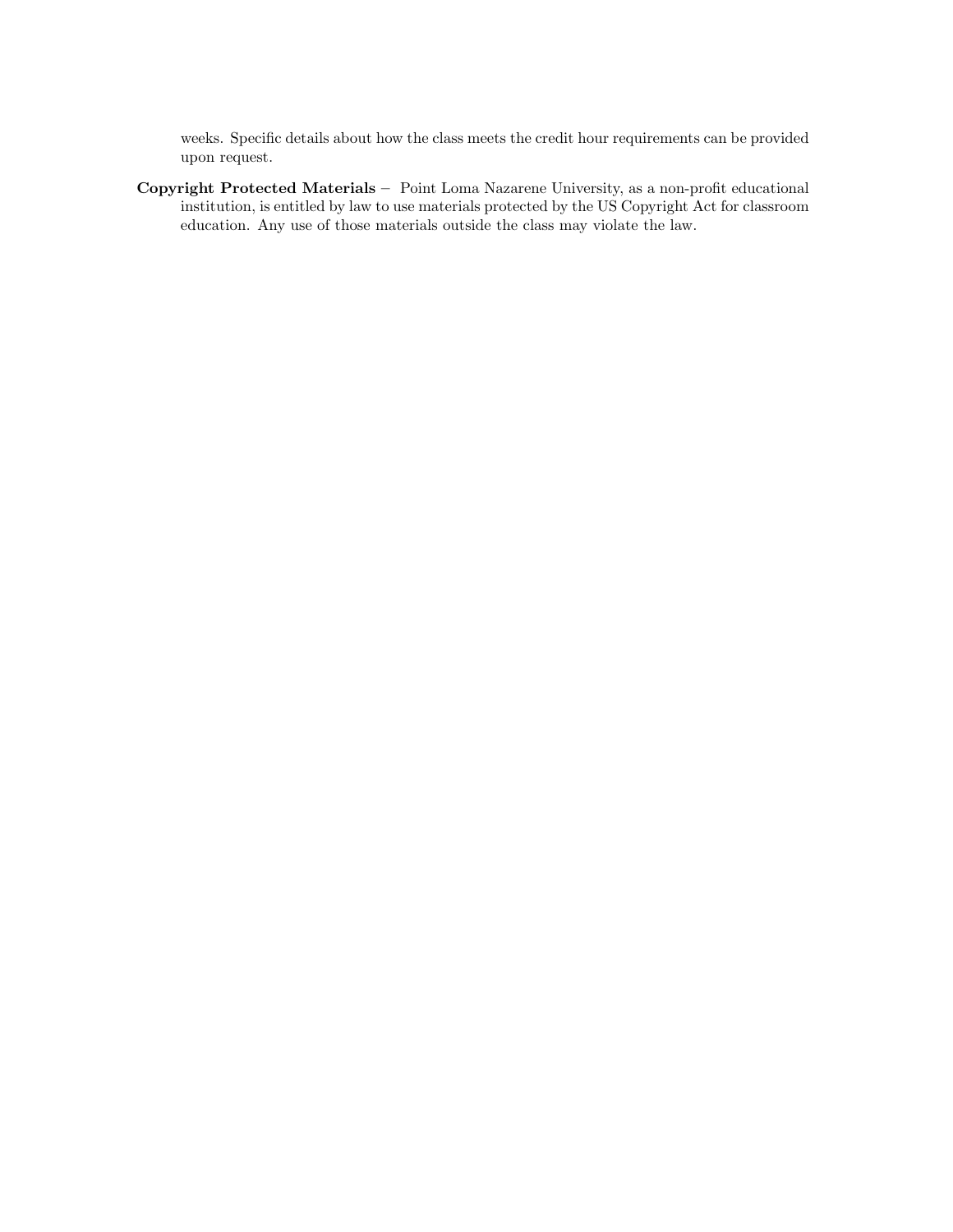weeks. Specific details about how the class meets the credit hour requirements can be provided upon request.

Copyright Protected Materials – Point Loma Nazarene University, as a non-profit educational institution, is entitled by law to use materials protected by the US Copyright Act for classroom education. Any use of those materials outside the class may violate the law.